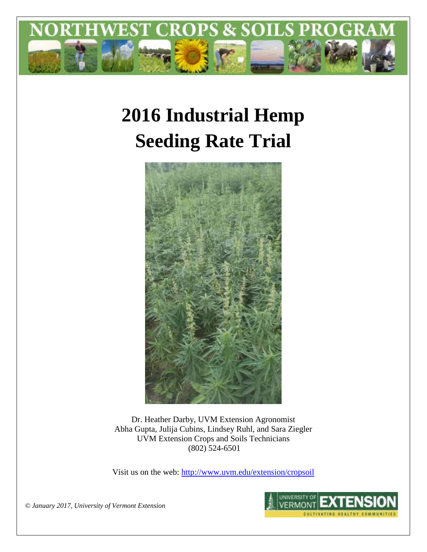

# **2016 Industrial Hemp Seeding Rate Trial**



Dr. Heather Darby, UVM Extension Agronomist Abha Gupta, Julija Cubins, Lindsey Ruhl, and Sara Ziegler UVM Extension Crops and Soils Technicians (802) 524-6501

Visit us on the web:<http://www.uvm.edu/extension/cropsoil>



*© January 2017, University of Vermont Extension*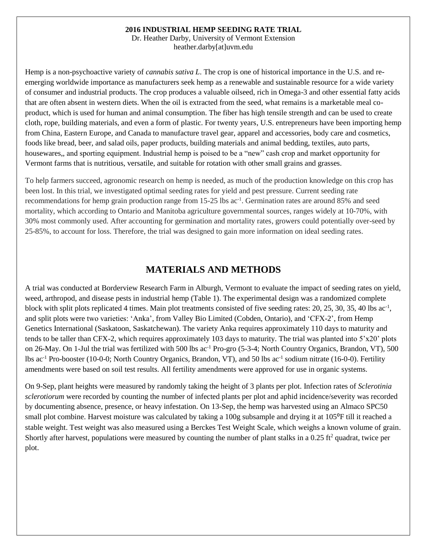#### **2016 INDUSTRIAL HEMP SEEDING RATE TRIAL**

Dr. Heather Darby, University of Vermont Extension heather.darby[at]uvm.edu

Hemp is a non-psychoactive variety of *cannabis sativa L*. The crop is one of historical importance in the U.S. and reemerging worldwide importance as manufacturers seek hemp as a renewable and sustainable resource for a wide variety of consumer and industrial products. The crop produces a valuable oilseed, rich in Omega-3 and other essential fatty acids that are often absent in western diets. When the oil is extracted from the seed, what remains is a marketable meal coproduct, which is used for human and animal consumption. The fiber has high tensile strength and can be used to create cloth, rope, building materials, and even a form of plastic. For twenty years, U.S. entrepreneurs have been importing hemp from China, Eastern Europe, and Canada to manufacture travel gear, apparel and accessories, body care and cosmetics, foods like bread, beer, and salad oils, paper products, building materials and animal bedding, textiles, auto parts, housewares,, and sporting equipment. Industrial hemp is poised to be a "new" cash crop and market opportunity for Vermont farms that is nutritious, versatile, and suitable for rotation with other small grains and grasses.

To help farmers succeed, agronomic research on hemp is needed, as much of the production knowledge on this crop has been lost. In this trial, we investigated optimal seeding rates for yield and pest pressure. Current seeding rate recommendations for hemp grain production range from 15-25 lbs ac<sup>-1</sup>. Germination rates are around 85% and seed mortality, which according to Ontario and Manitoba agriculture governmental sources, ranges widely at 10-70%, with 30% most commonly used. After accounting for germination and mortality rates, growers could potentially over-seed by 25-85%, to account for loss. Therefore, the trial was designed to gain more information on ideal seeding rates.

## **MATERIALS AND METHODS**

A trial was conducted at Borderview Research Farm in Alburgh, Vermont to evaluate the impact of seeding rates on yield, weed, arthropod, and disease pests in industrial hemp (Table 1). The experimental design was a randomized complete block with split plots replicated 4 times. Main plot treatments consisted of five seeding rates: 20, 25, 30, 35, 40 lbs ac<sup>-1</sup>, and split plots were two varieties: 'Anka', from Valley Bio Limited (Cobden, Ontario), and 'CFX-2', from Hemp Genetics International (Saskatoon, Saskatchewan). The variety Anka requires approximately 110 days to maturity and tends to be taller than CFX-2, which requires approximately 103 days to maturity. The trial was planted into 5'x20' plots on 26-May. On 1-Jul the trial was fertilized with 500 lbs ac-1 Pro-gro (5-3-4; North Country Organics, Brandon, VT), 500 lbs ac<sup>-1</sup> Pro-booster (10-0-0; North Country Organics, Brandon, VT), and 50 lbs ac<sup>-1</sup> sodium nitrate (16-0-0). Fertility amendments were based on soil test results. All fertility amendments were approved for use in organic systems.

On 9-Sep, plant heights were measured by randomly taking the height of 3 plants per plot. Infection rates of *Sclerotinia sclerotiorum* were recorded by counting the number of infected plants per plot and aphid incidence/severity was recorded by documenting absence, presence, or heavy infestation. On 13-Sep, the hemp was harvested using an Almaco SPC50 small plot combine. Harvest moisture was calculated by taking a 100g subsample and drying it at 105 $\degree$ F till it reached a stable weight. Test weight was also measured using a Berckes Test Weight Scale, which weighs a known volume of grain. Shortly after harvest, populations were measured by counting the number of plant stalks in a 0.25 ft<sup>2</sup> quadrat, twice per plot.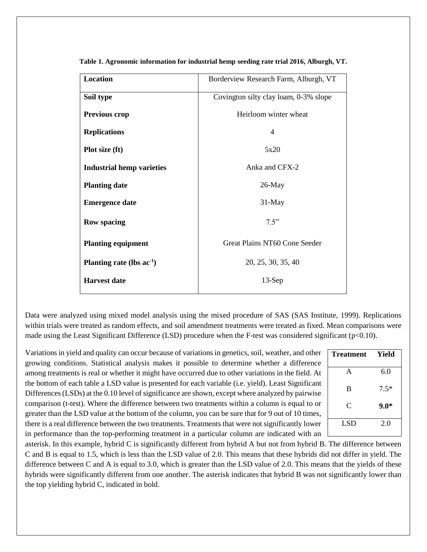| Location                         | Borderview Research Farm, Alburgh, VT |
|----------------------------------|---------------------------------------|
| Soil type                        | Covington silty clay loam, 0-3% slope |
| <b>Previous crop</b>             | Heirloom winter wheat                 |
| <b>Replications</b>              | $\overline{4}$                        |
| Plot size (ft)                   | 5x20                                  |
| <b>Industrial hemp varieties</b> | Anka and CFX-2                        |
| <b>Planting date</b>             | $26$ -May                             |
| <b>Emergence date</b>            | 31-May                                |
| <b>Row spacing</b>               | 7.5"                                  |
| <b>Planting equipment</b>        | Great Plains NT60 Cone Seeder         |
| Planting rate (lbs $ac^{-1}$ )   | 20, 25, 30, 35, 40                    |
| <b>Harvest date</b>              | $13-Sep$                              |

**Table 1. Agronomic information for industrial hemp seeding rate trial 2016, Alburgh, VT.**

Data were analyzed using mixed model analysis using the mixed procedure of SAS (SAS Institute, 1999). Replications within trials were treated as random effects, and soil amendment treatments were treated as fixed. Mean comparisons were made using the Least Significant Difference (LSD) procedure when the F-test was considered significant ( $p<0.10$ ).

Variations in yield and quality can occur because of variations in genetics, soil, weather, and other growing conditions. Statistical analysis makes it possible to determine whether a difference among treatments is real or whether it might have occurred due to other variations in the field. At the bottom of each table a LSD value is presented for each variable (i.e. yield). Least Significant Differences (LSDs) at the 0.10 level of significance are shown, except where analyzed by pairwise comparison (t-test). Where the difference between two treatments within a column is equal to or greater than the LSD value at the bottom of the column, you can be sure that for 9 out of 10 times, there is a real difference between the two treatments. Treatments that were not significantly lower in performance than the top-performing treatment in a particular column are indicated with an

| <b>Treatment</b> | Yield  |
|------------------|--------|
| A                | 6.0    |
| B                | $7.5*$ |
| C                | $9.0*$ |
| <b>LSD</b>       | 2.0    |

asterisk. In this example, hybrid C is significantly different from hybrid A but not from hybrid B. The difference between C and B is equal to 1.5, which is less than the LSD value of 2.0. This means that these hybrids did not differ in yield. The difference between C and A is equal to 3.0, which is greater than the LSD value of 2.0. This means that the yields of these hybrids were significantly different from one another. The asterisk indicates that hybrid B was not significantly lower than the top yielding hybrid C, indicated in bold.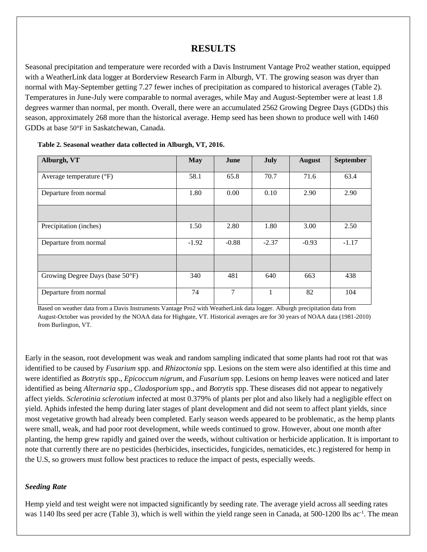# **RESULTS**

Seasonal precipitation and temperature were recorded with a Davis Instrument Vantage Pro2 weather station, equipped with a WeatherLink data logger at Borderview Research Farm in Alburgh, VT. The growing season was dryer than normal with May-September getting 7.27 fewer inches of precipitation as compared to historical averages (Table 2). Temperatures in June-July were comparable to normal averages, while May and August-September were at least 1.8 degrees warmer than normal, per month. Overall, there were an accumulated 2562 Growing Degree Days (GDDs) this season, approximately 268 more than the historical average. Hemp seed has been shown to produce well with 1460 GDDs at base 50°F in Saskatchewan, Canada.

| Alburgh, VT                       | <b>May</b> | June    | <b>July</b> | <b>August</b> | <b>September</b> |
|-----------------------------------|------------|---------|-------------|---------------|------------------|
| Average temperature $(^{\circ}F)$ | 58.1       | 65.8    | 70.7        | 71.6          | 63.4             |
| Departure from normal             | 1.80       | 0.00    | 0.10        | 2.90          | 2.90             |
|                                   |            |         |             |               |                  |
| Precipitation (inches)            | 1.50       | 2.80    | 1.80        | 3.00          | 2.50             |
| Departure from normal             | $-1.92$    | $-0.88$ | $-2.37$     | $-0.93$       | $-1.17$          |
|                                   |            |         |             |               |                  |
| Growing Degree Days (base 50°F)   | 340        | 481     | 640         | 663           | 438              |
| Departure from normal             | 74         | 7       |             | 82            | 104              |

| Table 2. Seasonal weather data collected in Alburgh, VT, 2016. |  |  |  |  |
|----------------------------------------------------------------|--|--|--|--|
|----------------------------------------------------------------|--|--|--|--|

Based on weather data from a Davis Instruments Vantage Pro2 with WeatherLink data logger. Alburgh precipitation data from August-October was provided by the NOAA data for Highgate, VT. Historical averages are for 30 years of NOAA data (1981-2010) from Burlington, VT.

Early in the season, root development was weak and random sampling indicated that some plants had root rot that was identified to be caused by *Fusarium* spp. and *Rhizoctonia* spp*.* Lesions on the stem were also identified at this time and were identified as *Botrytis* spp., *Epicoccum nigrum*, and *Fusarium* spp. Lesions on hemp leaves were noticed and later identified as being *Alternaria* spp., *Cladosporium* spp., and *Botrytis* spp. These diseases did not appear to negatively affect yields. *Sclerotinia sclerotium* infected at most 0.379% of plants per plot and also likely had a negligible effect on yield. Aphids infested the hemp during later stages of plant development and did not seem to affect plant yields, since most vegetative growth had already been completed. Early season weeds appeared to be problematic, as the hemp plants were small, weak, and had poor root development, while weeds continued to grow. However, about one month after planting, the hemp grew rapidly and gained over the weeds, without cultivation or herbicide application. It is important to note that currently there are no pesticides (herbicides, insecticides, fungicides, nematicides, etc.) registered for hemp in the U.S, so growers must follow best practices to reduce the impact of pests, especially weeds.

#### *Seeding Rate*

Hemp yield and test weight were not impacted significantly by seeding rate. The average yield across all seeding rates was 1140 lbs seed per acre (Table 3), which is well within the yield range seen in Canada, at 500-1200 lbs ac<sup>-1</sup>. The mean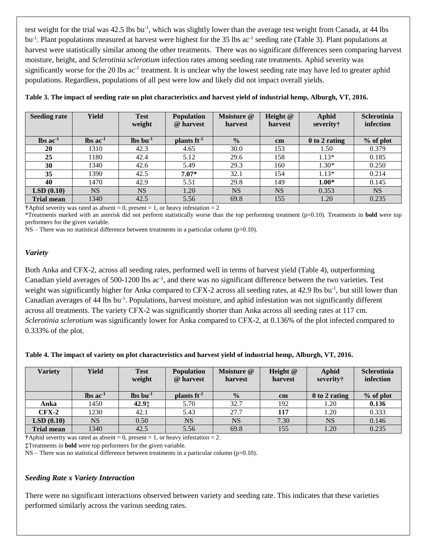test weight for the trial was 42.5 lbs bu<sup>-1</sup>, which was slightly lower than the average test weight from Canada, at 44 lbs bu<sup>-1</sup>. Plant populations measured at harvest were highest for the 35 lbs ac<sup>-1</sup> seeding rate (Table 3). Plant populations at harvest were statistically similar among the other treatments. There was no significant differences seen comparing harvest moisture, height, and *Sclerotinia sclerotium* infection rates among seeding rate treatments. Aphid severity was significantly worse for the 20 lbs ac<sup>-1</sup> treatment. It is unclear why the lowest seeding rate may have led to greater aphid populations. Regardless, populations of all pest were low and likely did not impact overall yields.

| <b>Seeding rate</b>           | <b>Yield</b>                  | <b>Test</b><br>weight          | <b>Population</b><br>@ harvest | Moisture @<br>harvest | Height @<br>harvest | <b>Aphid</b><br>severity† | <b>Sclerotinia</b><br>infection |
|-------------------------------|-------------------------------|--------------------------------|--------------------------------|-----------------------|---------------------|---------------------------|---------------------------------|
| $\text{lbs}$ ac <sup>-1</sup> | $\text{lbs}$ ac <sup>-1</sup> | $\mathbf{lbs}\mathbf{bu}^{-1}$ | plants $ft^2$                  | $\frac{0}{0}$         | $\mathbf{cm}$       | 0 to 2 rating             | % of plot                       |
| 20                            | 1310                          | 42.3                           | 4.65                           | 30.0                  | 153                 | 1.50                      | 0.379                           |
| 25                            | 1180                          | 42.4                           | 5.12                           | 29.6                  | 158                 | $1.13*$                   | 0.185                           |
| 30                            | 1340                          | 42.6                           | 5.49                           | 29.3                  | 160                 | $1.30*$                   | 0.250                           |
| 35                            | 1390                          | 42.5                           | $7.07*$                        | 32.1                  | 154                 | $1.13*$                   | 0.214                           |
| 40                            | 1470                          | 42.9                           | 5.51                           | 29.8                  | 149                 | $1.00*$                   | 0.145                           |
| LSD(0.10)                     | <b>NS</b>                     | <b>NS</b>                      | 1.20                           | <b>NS</b>             | <b>NS</b>           | 0.353                     | <b>NS</b>                       |
| <b>Trial mean</b>             | 1340                          | 42.5                           | 5.56                           | 69.8                  | 155                 | 1.20                      | 0.235                           |

**Table 3. The impact of seeding rate on plot characteristics and harvest yield of industrial hemp, Alburgh, VT, 2016.** 

**†**Aphid severity was rated as absent = 0, present = 1, or heavy infestation = 2

\*Treatments marked with an asterisk did not perform statistically worse than the top performing treatment (p=0.10). Treatments in **bold** were top performers for the given variable.

NS – There was no statistical difference between treatments in a particular column (p=0.10).

#### *Variety*

Both Anka and CFX-2, across all seeding rates, performed well in terms of harvest yield (Table 4), outperforming Canadian yield averages of 500-1200 lbs ac<sup>-1</sup>, and there was no significant difference between the two varieties. Test weight was significantly higher for Anka compared to CFX-2 across all seeding rates, at 42.9 lbs bu<sup>-1</sup>, but still lower than Canadian averages of 44 lbs bu<sup>-1</sup>. Populations, harvest moisture, and aphid infestation was not significantly different across all treatments. The variety CFX-2 was significantly shorter than Anka across all seeding rates at 117 cm. *Sclerotinia sclerotium* was significantly lower for Anka compared to CFX-2, at 0.136% of the plot infected compared to 0.333% of the plot.

|  |  | Table 4. The impact of variety on plot characteristics and harvest yield of industrial hemp, Alburgh, VT, 2016. |  |
|--|--|-----------------------------------------------------------------------------------------------------------------|--|
|--|--|-----------------------------------------------------------------------------------------------------------------|--|

| <b>Variety</b>    | Yield                  | <b>Test</b><br>weight                | <b>Population</b><br>@ harvest | Moisture @<br>harvest | Height $@$<br>harvest | Aphid<br>severity† | <b>Sclerotinia</b><br>infection |
|-------------------|------------------------|--------------------------------------|--------------------------------|-----------------------|-----------------------|--------------------|---------------------------------|
|                   | $\ln$ ac <sup>-1</sup> | $\ln 1$                              | plants $ft2$                   | $\frac{0}{0}$         | $\mathbf{cm}$         | $0$ to 2 rating    | $%$ of plot                     |
| Anka              | 1450                   | 42.9 <sup><math>\dagger</math></sup> | 5.70                           | 32.7                  | 192                   | 1.20               | 0.136                           |
| $CFX-2$           | 1230                   | 42.1                                 | 5.43                           | 27.7                  | 117                   | 1.20               | 0.333                           |
| LSD(0.10)         | <b>NS</b>              | 0.50                                 | <b>NS</b>                      | <b>NS</b>             | 7.30                  | <b>NS</b>          | 0.146                           |
| <b>Trial mean</b> | 1340                   | 42.5                                 | 5.56                           | 69.8                  | 155                   | 1.20               | 0.235                           |

**†**Aphid severity was rated as absent = 0, present = 1, or heavy infestation = 2.

**‡**Treatments in **bold** were top performers for the given variable.

 $NS$  – There was no statistical difference between treatments in a particular column ( $p=0.10$ ).

#### *Seeding Rate x Variety Interaction*

There were no significant interactions observed between variety and seeding rate. This indicates that these varieties performed similarly across the various seeding rates.